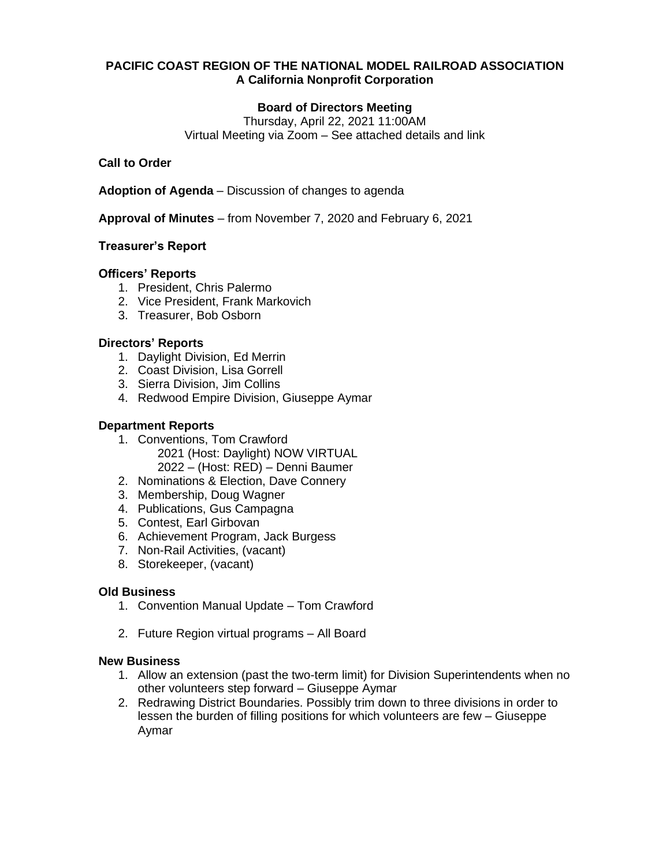## **PACIFIC COAST REGION OF THE NATIONAL MODEL RAILROAD ASSOCIATION A California Nonprofit Corporation**

# **Board of Directors Meeting**

Thursday, April 22, 2021 11:00AM Virtual Meeting via Zoom – See attached details and link

## **Call to Order**

**Adoption of Agenda** – Discussion of changes to agenda

**Approval of Minutes** – from November 7, 2020 and February 6, 2021

## **Treasurer's Report**

#### **Officers' Reports**

- 1. President, Chris Palermo
- 2. Vice President, Frank Markovich
- 3. Treasurer, Bob Osborn

## **Directors' Reports**

- 1. Daylight Division, Ed Merrin
- 2. Coast Division, Lisa Gorrell
- 3. Sierra Division, Jim Collins
- 4. Redwood Empire Division, Giuseppe Aymar

## **Department Reports**

- 1. Conventions, Tom Crawford 2021 (Host: Daylight) NOW VIRTUAL 2022 – (Host: RED) – Denni Baumer
- 2. Nominations & Election, Dave Connery
- 3. Membership, Doug Wagner
- 4. Publications, Gus Campagna
- 5. Contest, Earl Girbovan
- 6. Achievement Program, Jack Burgess
- 7. Non-Rail Activities, (vacant)
- 8. Storekeeper, (vacant)

#### **Old Business**

- 1. Convention Manual Update Tom Crawford
- 2. Future Region virtual programs All Board

#### **New Business**

- 1. Allow an extension (past the two-term limit) for Division Superintendents when no other volunteers step forward – Giuseppe Aymar
- 2. Redrawing District Boundaries. Possibly trim down to three divisions in order to lessen the burden of filling positions for which volunteers are few – Giuseppe Aymar